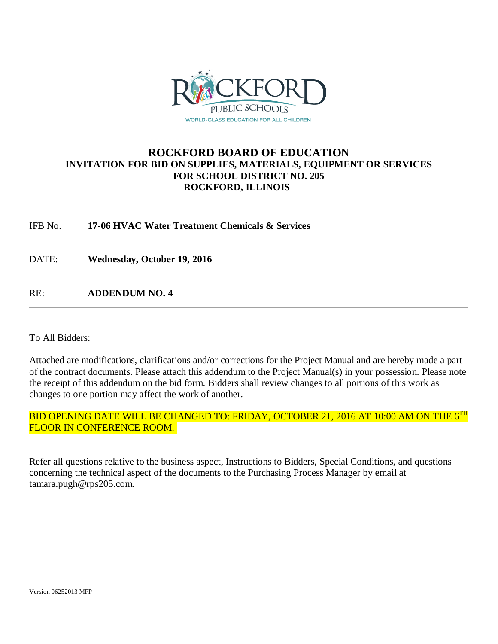

# **ROCKFORD BOARD OF EDUCATION INVITATION FOR BID ON SUPPLIES, MATERIALS, EQUIPMENT OR SERVICES FOR SCHOOL DISTRICT NO. 205 ROCKFORD, ILLINOIS**

IFB No. **17-06 HVAC Water Treatment Chemicals & Services**

DATE: **Wednesday, October 19, 2016**

RE: **ADDENDUM NO. 4**

To All Bidders:

Attached are modifications, clarifications and/or corrections for the Project Manual and are hereby made a part of the contract documents. Please attach this addendum to the Project Manual(s) in your possession. Please note the receipt of this addendum on the bid form. Bidders shall review changes to all portions of this work as changes to one portion may affect the work of another.

# BID OPENING DATE WILL BE CHANGED TO: FRIDAY, OCTOBER 21, 2016 AT 10:00 AM ON THE 6<sup>TH</sup> FLOOR IN CONFERENCE ROOM.

Refer all questions relative to the business aspect, Instructions to Bidders, Special Conditions, and questions concerning the technical aspect of the documents to the Purchasing Process Manager by email at tamara.pugh@rps205.com.